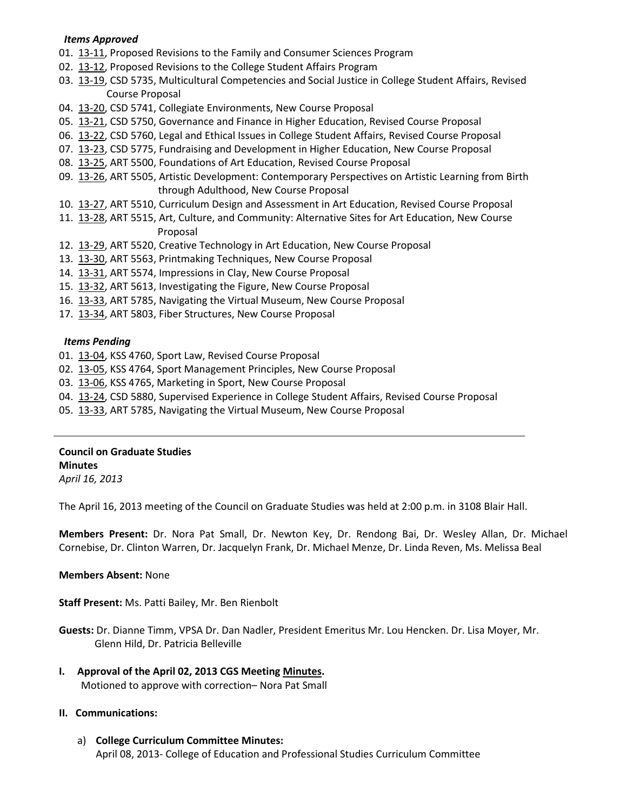#### *Items Approved*

- 01. [13-11,](http://castle.eiu.edu/~eiucgs/currentagendaitems/agenda13-11.pdf) Proposed Revisions to the Family and Consumer Sciences Program
- 02. [13-12,](http://castle.eiu.edu/~eiucgs/currentagendaitems/agenda13-12.pdf) Proposed Revisions to the College Student Affairs Program
- 03. [13-19,](http://castle.eiu.edu/~eiucgs/currentagendaitems/agenda13-19.pdf) CSD 5735, Multicultural Competencies and Social Justice in College Student Affairs, Revised Course Proposal
- 04. [13-20,](http://castle.eiu.edu/~eiucgs/currentagendaitems/agenda13-20.pdf) CSD 5741, Collegiate Environments, New Course Proposal
- 05. [13-21,](http://castle.eiu.edu/~eiucgs/currentagendaitems/agenda13-21.pdf) CSD 5750, Governance and Finance in Higher Education, Revised Course Proposal
- 06. [13-22,](http://castle.eiu.edu/~eiucgs/currentagendaitems/agenda13-22.pdf) CSD 5760, Legal and Ethical Issues in College Student Affairs, Revised Course Proposal
- 07. [13-23,](http://castle.eiu.edu/~eiucgs/currentagendaitems/agenda13-23.pdf) CSD 5775, Fundraising and Development in Higher Education, New Course Proposal
- 08. [13-25,](http://castle.eiu.edu/~eiucgs/currentagendaitems/agenda13-25.pdf) ART 5500, Foundations of Art Education, Revised Course Proposal
- 09. [13-26,](http://castle.eiu.edu/~eiucgs/currentagendaitems/agenda13-26.pdf) ART 5505, Artistic Development: Contemporary Perspectives on Artistic Learning from Birth through Adulthood, New Course Proposal
- 10. [13-27,](http://castle.eiu.edu/~eiucgs/currentagendaitems/agenda13-27.pdf) ART 5510, Curriculum Design and Assessment in Art Education, Revised Course Proposal
- 11. [13-28,](http://castle.eiu.edu/~eiucgs/currentagendaitems/agenda13-28.pdf) ART 5515, Art, Culture, and Community: Alternative Sites for Art Education, New Course Proposal
- 12. [13-29,](http://castle.eiu.edu/~eiucgs/currentagendaitems/agenda13-29.pdf) ART 5520, Creative Technology in Art Education, New Course Proposal
- 13. [13-30,](http://castle.eiu.edu/~eiucgs/currentagendaitems/agenda13-30.pdf) ART 5563, Printmaking Techniques, New Course Proposal
- 14. [13-31,](http://castle.eiu.edu/~eiucgs/currentagendaitems/agenda13-31.pdf) ART 5574, Impressions in Clay, New Course Proposal
- 15. [13-32,](http://castle.eiu.edu/~eiucgs/currentagendaitems/agenda13-32.pdf) ART 5613, Investigating the Figure, New Course Proposal
- 16. [13-33,](http://castle.eiu.edu/~eiucgs/currentagendaitems/agenda13-33.pdf) ART 5785, Navigating the Virtual Museum, New Course Proposal
- 17. [13-34,](http://castle.eiu.edu/~eiucgs/currentagendaitems/agenda13-34.pdf) ART 5803, Fiber Structures, New Course Proposal

#### *Items Pending*

- 01. [13-04,](http://castle.eiu.edu/~eiucgs/currentagendaitems/agenda13-04.pdf) KSS 4760, Sport Law, Revised Course Proposal
- 02. [13-05,](http://castle.eiu.edu/~eiucgs/currentagendaitems/agenda13-05.pdf) KSS 4764, Sport Management Principles, New Course Proposal
- 03. [13-06,](http://castle.eiu.edu/~eiucgs/currentagendaitems/agenda13-06.pdf) KSS 4765, Marketing in Sport, New Course Proposal
- 04. [13-24,](http://castle.eiu.edu/~eiucgs/currentagendaitems/agenda13-24.pdf) CSD 5880, Supervised Experience in College Student Affairs, Revised Course Proposal
- 05. [13-33,](http://castle.eiu.edu/~eiucgs/currentagendaitems/agenda13-33.pdf) ART 5785, Navigating the Virtual Museum, New Course Proposal

#### **Council on Graduate Studies Minutes**

*April 16, 2013*

The April 16, 2013 meeting of the Council on Graduate Studies was held at 2:00 p.m. in 3108 Blair Hall.

**Members Present:** Dr. Nora Pat Small, Dr. Newton Key, Dr. Rendong Bai, Dr. Wesley Allan, Dr. Michael Cornebise, Dr. Clinton Warren, Dr. Jacquelyn Frank, Dr. Michael Menze, Dr. Linda Reven, Ms. Melissa Beal

#### **Members Absent:** None

**Staff Present:** Ms. Patti Bailey, Mr. Ben Rienbolt

**Guests:** Dr. Dianne Timm, VPSA Dr. Dan Nadler, President Emeritus Mr. Lou Hencken. Dr. Lisa Moyer, Mr. Glenn Hild, Dr. Patricia Belleville

**I. Approval of the April 02, 2013 CGS Meeting [Minutes.](http://castle.eiu.edu/eiucgs/currentminutes/Minutes04-02-13.pdf)** Motioned to approve with correction– Nora Pat Small

#### **II. Communications:**

a) **College Curriculum Committee Minutes:** April 08, 2013- College of Education and Professional Studies Curriculum Committee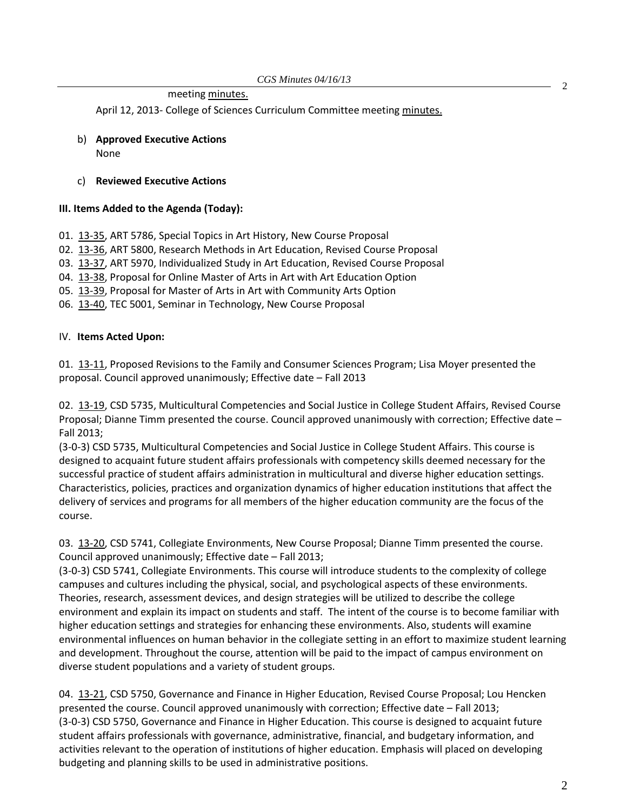meeting [minutes.](http://castle.eiu.edu/~eiucgs/currentagendaitems/CEPSMin04-08-13.pdf) 2

April 12, 2013- College of Sciences Curriculum Committee meeting [minutes.](http://castle.eiu.edu/~eiucgs/currentagendaitems/COSMin04-12-13.pdf)

b) **Approved Executive Actions** None

#### c) **Reviewed Executive Actions**

### **III. Items Added to the Agenda (Today):**

- 01. [13-35,](http://castle.eiu.edu/~eiucgs/currentagendaitems/agenda13-35.pdf) ART 5786, Special Topics in Art History, New Course Proposal
- 02. [13-36,](http://castle.eiu.edu/~eiucgs/currentagendaitems/agenda13-36.pdf) ART 5800, Research Methods in Art Education, Revised Course Proposal
- 03. [13-37,](http://castle.eiu.edu/~eiucgs/currentagendaitems/agenda13-37.pdf) ART 5970, Individualized Study in Art Education, Revised Course Proposal
- 04. [13-38,](http://castle.eiu.edu/~eiucgs/currentagendaitems/agenda13-38.pdf) Proposal for Online Master of Arts in Art with Art Education Option
- 05. [13-39,](http://castle.eiu.edu/~eiucgs/currentagendaitems/agenda13-39.pdf) Proposal for Master of Arts in Art with Community Arts Option
- 06. [13-40,](http://castle.eiu.edu/~eiucgs/currentagendaitems/agenda13-40.pdf) TEC 5001, Seminar in Technology, New Course Proposal

### IV. **Items Acted Upon:**

01. [13-11,](http://castle.eiu.edu/~eiucgs/currentagendaitems/agenda13-11.pdf) Proposed Revisions to the Family and Consumer Sciences Program; Lisa Moyer presented the proposal. Council approved unanimously; Effective date – Fall 2013

02. [13-19,](http://castle.eiu.edu/~eiucgs/currentagendaitems/agenda13-19.pdf) CSD 5735, Multicultural Competencies and Social Justice in College Student Affairs, Revised Course Proposal; Dianne Timm presented the course. Council approved unanimously with correction; Effective date – Fall 2013;

(3-0-3) CSD 5735, Multicultural Competencies and Social Justice in College Student Affairs. This course is designed to acquaint future student affairs professionals with competency skills deemed necessary for the successful practice of student affairs administration in multicultural and diverse higher education settings. Characteristics, policies, practices and organization dynamics of higher education institutions that affect the delivery of services and programs for all members of the higher education community are the focus of the course.

03. [13-20,](http://castle.eiu.edu/~eiucgs/currentagendaitems/agenda13-20.pdf) CSD 5741, Collegiate Environments, New Course Proposal; Dianne Timm presented the course. Council approved unanimously; Effective date – Fall 2013;

(3-0-3) CSD 5741, Collegiate Environments. This course will introduce students to the complexity of college campuses and cultures including the physical, social, and psychological aspects of these environments. Theories, research, assessment devices, and design strategies will be utilized to describe the college environment and explain its impact on students and staff. The intent of the course is to become familiar with higher education settings and strategies for enhancing these environments. Also, students will examine environmental influences on human behavior in the collegiate setting in an effort to maximize student learning and development. Throughout the course, attention will be paid to the impact of campus environment on diverse student populations and a variety of student groups.

04. [13-21,](http://castle.eiu.edu/~eiucgs/currentagendaitems/agenda13-21.pdf) CSD 5750, Governance and Finance in Higher Education, Revised Course Proposal; Lou Hencken presented the course. Council approved unanimously with correction; Effective date – Fall 2013; (3-0-3) CSD 5750, Governance and Finance in Higher Education. This course is designed to acquaint future student affairs professionals with governance, administrative, financial, and budgetary information, and activities relevant to the operation of institutions of higher education. Emphasis will placed on developing budgeting and planning skills to be used in administrative positions.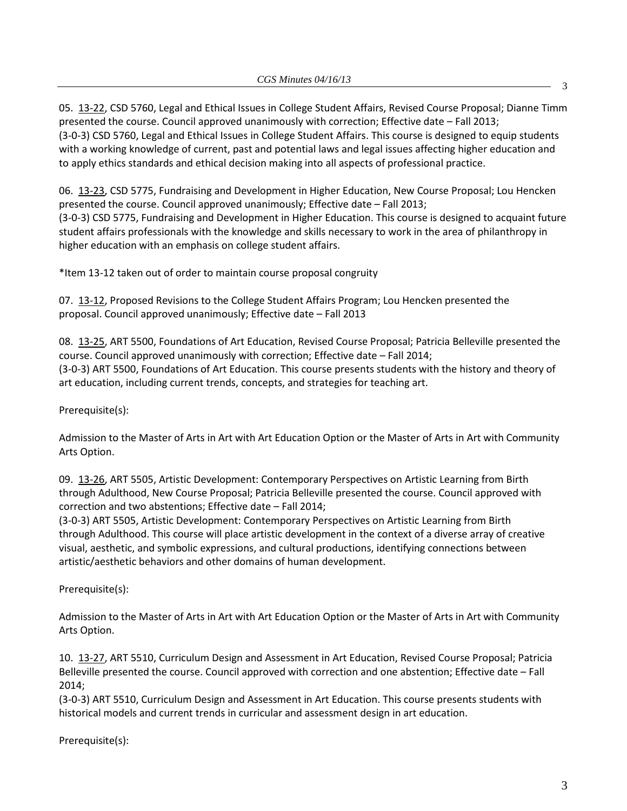05. [13-22,](http://castle.eiu.edu/~eiucgs/currentagendaitems/agenda13-22.pdf) CSD 5760, Legal and Ethical Issues in College Student Affairs, Revised Course Proposal; Dianne Timm presented the course. Council approved unanimously with correction; Effective date – Fall 2013; (3-0-3) CSD 5760, Legal and Ethical Issues in College Student Affairs. This course is designed to equip students with a working knowledge of current, past and potential laws and legal issues affecting higher education and to apply ethics standards and ethical decision making into all aspects of professional practice.

06. [13-23,](http://castle.eiu.edu/~eiucgs/currentagendaitems/agenda13-23.pdf) CSD 5775, Fundraising and Development in Higher Education, New Course Proposal; Lou Hencken presented the course. Council approved unanimously; Effective date – Fall 2013; (3-0-3) CSD 5775, Fundraising and Development in Higher Education. This course is designed to acquaint future student affairs professionals with the knowledge and skills necessary to work in the area of philanthropy in higher education with an emphasis on college student affairs.

\*Item 13-12 taken out of order to maintain course proposal congruity

07. [13-12,](http://castle.eiu.edu/~eiucgs/currentagendaitems/agenda13-12.pdf) Proposed Revisions to the College Student Affairs Program; Lou Hencken presented the proposal. Council approved unanimously; Effective date – Fall 2013

08. [13-25,](http://castle.eiu.edu/~eiucgs/currentagendaitems/agenda13-25.pdf) ART 5500, Foundations of Art Education, Revised Course Proposal; Patricia Belleville presented the course. Council approved unanimously with correction; Effective date – Fall 2014; (3-0-3) ART 5500, Foundations of Art Education. This course presents students with the history and theory of art education, including current trends, concepts, and strategies for teaching art.

Prerequisite(s):

Admission to the Master of Arts in Art with Art Education Option or the Master of Arts in Art with Community Arts Option.

09. [13-26,](http://castle.eiu.edu/~eiucgs/currentagendaitems/agenda13-26.pdf) ART 5505, Artistic Development: Contemporary Perspectives on Artistic Learning from Birth through Adulthood, New Course Proposal; Patricia Belleville presented the course. Council approved with correction and two abstentions; Effective date – Fall 2014;

(3-0-3) ART 5505, Artistic Development: Contemporary Perspectives on Artistic Learning from Birth through Adulthood. This course will place artistic development in the context of a diverse array of creative visual, aesthetic, and symbolic expressions, and cultural productions, identifying connections between artistic/aesthetic behaviors and other domains of human development.

Prerequisite(s):

Admission to the Master of Arts in Art with Art Education Option or the Master of Arts in Art with Community Arts Option.

10. [13-27,](http://castle.eiu.edu/~eiucgs/currentagendaitems/agenda13-27.pdf) ART 5510, Curriculum Design and Assessment in Art Education, Revised Course Proposal; Patricia Belleville presented the course. Council approved with correction and one abstention; Effective date – Fall 2014;

(3-0-3) ART 5510, Curriculum Design and Assessment in Art Education. This course presents students with historical models and current trends in curricular and assessment design in art education.

Prerequisite(s):

3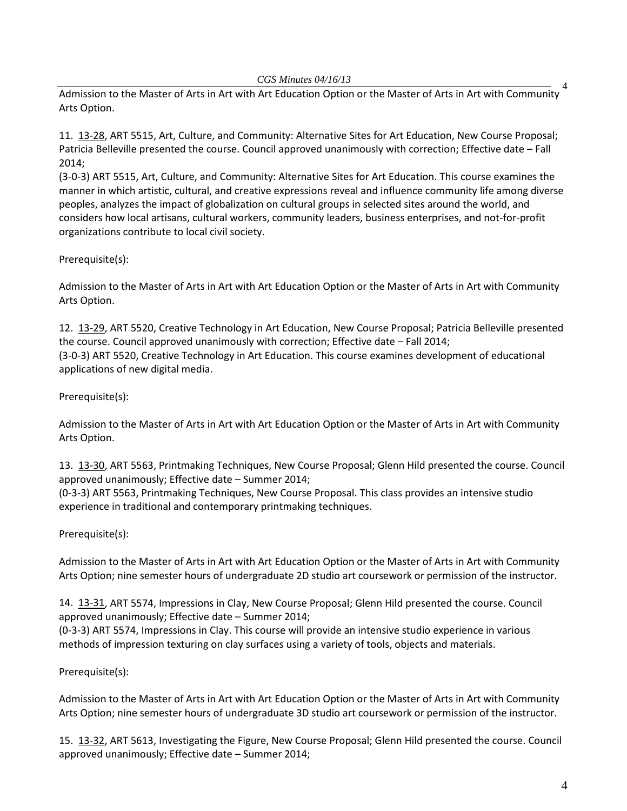#### *CGS Minutes 04/16/13*

4 Admission to the Master of Arts in Art with Art Education Option or the Master of Arts in Art with Community Arts Option.

11. [13-28,](http://castle.eiu.edu/~eiucgs/currentagendaitems/agenda13-28.pdf) ART 5515, Art, Culture, and Community: Alternative Sites for Art Education, New Course Proposal; Patricia Belleville presented the course. Council approved unanimously with correction; Effective date – Fall 2014;

(3-0-3) ART 5515, Art, Culture, and Community: Alternative Sites for Art Education. This course examines the manner in which artistic, cultural, and creative expressions reveal and influence community life among diverse peoples, analyzes the impact of globalization on cultural groups in selected sites around the world, and considers how local artisans, cultural workers, community leaders, business enterprises, and not-for-profit organizations contribute to local civil society.

## Prerequisite(s):

Admission to the Master of Arts in Art with Art Education Option or the Master of Arts in Art with Community Arts Option.

12. [13-29,](http://castle.eiu.edu/~eiucgs/currentagendaitems/agenda13-29.pdf) ART 5520, Creative Technology in Art Education, New Course Proposal; Patricia Belleville presented the course. Council approved unanimously with correction; Effective date – Fall 2014; (3-0-3) ART 5520, Creative Technology in Art Education. This course examines development of educational applications of new digital media.

## Prerequisite(s):

Admission to the Master of Arts in Art with Art Education Option or the Master of Arts in Art with Community Arts Option.

13. [13-30,](http://castle.eiu.edu/~eiucgs/currentagendaitems/agenda13-30.pdf) ART 5563, Printmaking Techniques, New Course Proposal; Glenn Hild presented the course. Council approved unanimously; Effective date – Summer 2014;

(0-3-3) ART 5563, Printmaking Techniques, New Course Proposal. This class provides an intensive studio experience in traditional and contemporary printmaking techniques.

## Prerequisite(s):

Admission to the Master of Arts in Art with Art Education Option or the Master of Arts in Art with Community Arts Option; nine semester hours of undergraduate 2D studio art coursework or permission of the instructor.

14. [13-31,](http://castle.eiu.edu/~eiucgs/currentagendaitems/agenda13-31.pdf) ART 5574, Impressions in Clay, New Course Proposal; Glenn Hild presented the course. Council approved unanimously; Effective date – Summer 2014;

(0-3-3) ART 5574, Impressions in Clay. This course will provide an intensive studio experience in various methods of impression texturing on clay surfaces using a variety of tools, objects and materials.

## Prerequisite(s):

Admission to the Master of Arts in Art with Art Education Option or the Master of Arts in Art with Community Arts Option; nine semester hours of undergraduate 3D studio art coursework or permission of the instructor.

15. [13-32,](http://castle.eiu.edu/~eiucgs/currentagendaitems/agenda13-32.pdf) ART 5613, Investigating the Figure, New Course Proposal; Glenn Hild presented the course. Council approved unanimously; Effective date – Summer 2014;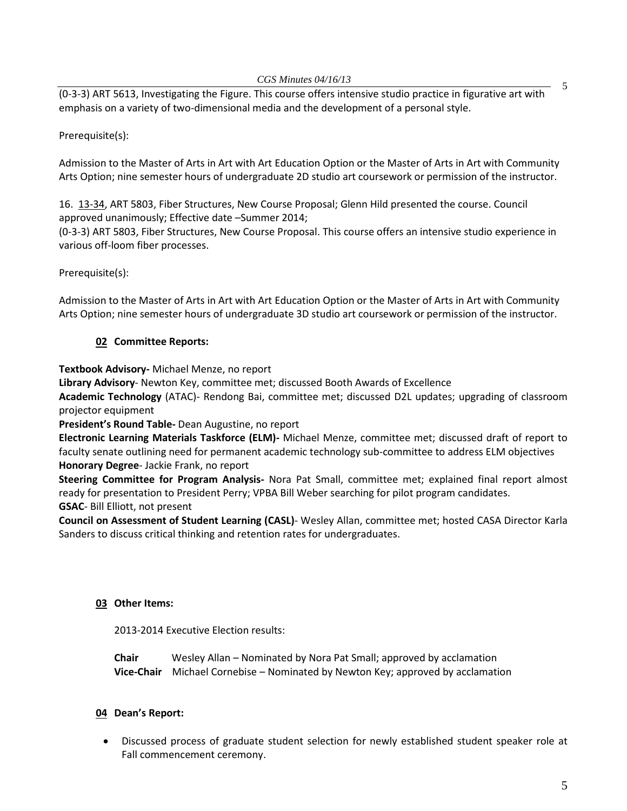(0-3-3) ART 5613, Investigating the Figure. This course offers intensive studio practice in figurative art with emphasis on a variety of two-dimensional media and the development of a personal style.

# Prerequisite(s):

Admission to the Master of Arts in Art with Art Education Option or the Master of Arts in Art with Community Arts Option; nine semester hours of undergraduate 2D studio art coursework or permission of the instructor.

16. [13-34,](http://castle.eiu.edu/~eiucgs/currentagendaitems/agenda13-34.pdf) ART 5803, Fiber Structures, New Course Proposal; Glenn Hild presented the course. Council approved unanimously; Effective date –Summer 2014;

(0-3-3) ART 5803, Fiber Structures, New Course Proposal. This course offers an intensive studio experience in various off-loom fiber processes.

# Prerequisite(s):

Admission to the Master of Arts in Art with Art Education Option or the Master of Arts in Art with Community Arts Option; nine semester hours of undergraduate 3D studio art coursework or permission of the instructor.

# **02 Committee Reports:**

**Textbook Advisory-** Michael Menze, no report

**Library Advisory**- Newton Key, committee met; discussed Booth Awards of Excellence

**Academic Technology** (ATAC)- Rendong Bai, committee met; discussed D2L updates; upgrading of classroom projector equipment

**President's Round Table-** Dean Augustine, no report

**Electronic Learning Materials Taskforce (ELM)-** Michael Menze, committee met; discussed draft of report to faculty senate outlining need for permanent academic technology sub-committee to address ELM objectives **Honorary Degree**- Jackie Frank, no report

**Steering Committee for Program Analysis-** Nora Pat Small, committee met; explained final report almost ready for presentation to President Perry; VPBA Bill Weber searching for pilot program candidates. **GSAC**- Bill Elliott, not present

**Council on Assessment of Student Learning (CASL)**- Wesley Allan, committee met; hosted CASA Director Karla Sanders to discuss critical thinking and retention rates for undergraduates.

# **03 Other Items:**

2013-2014 Executive Election results:

**Chair** Wesley Allan – Nominated by Nora Pat Small; approved by acclamation **Vice-Chair** Michael Cornebise – Nominated by Newton Key; approved by acclamation

# **04 Dean's Report:**

• Discussed process of graduate student selection for newly established student speaker role at Fall commencement ceremony.

5